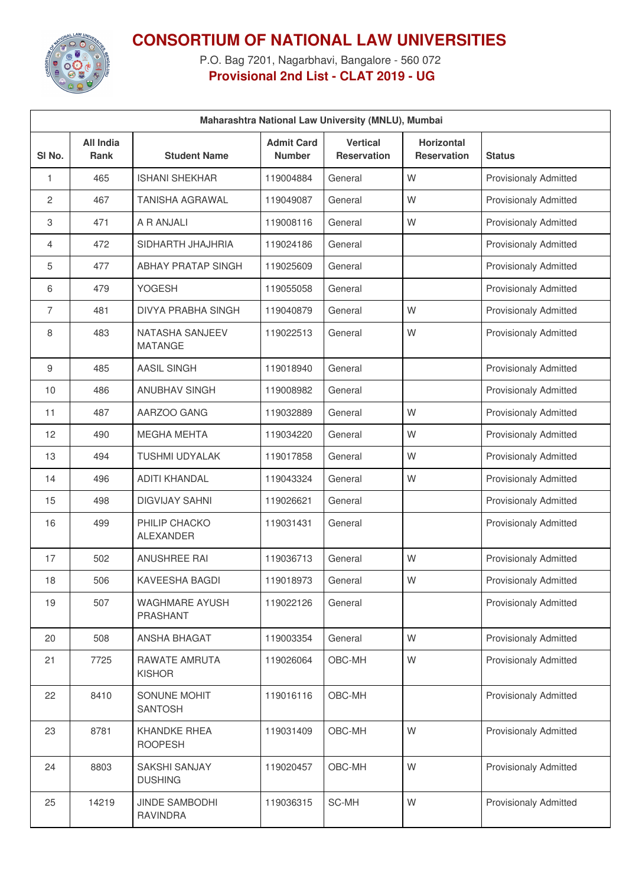

## **CONSORTIUM OF NATIONAL LAW UNIVERSITIES**

P.O. Bag 7201, Nagarbhavi, Bangalore - 560 072 **Provisional 2nd List - CLAT 2019 - UG**

| Maharashtra National Law University (MNLU), Mumbai |                                 |                                          |                                    |                                |                                         |                              |  |
|----------------------------------------------------|---------------------------------|------------------------------------------|------------------------------------|--------------------------------|-----------------------------------------|------------------------------|--|
| SI No.                                             | <b>All India</b><br><b>Rank</b> | <b>Student Name</b>                      | <b>Admit Card</b><br><b>Number</b> | <b>Vertical</b><br>Reservation | <b>Horizontal</b><br><b>Reservation</b> | <b>Status</b>                |  |
| 1                                                  | 465                             | <b>ISHANI SHEKHAR</b>                    | 119004884                          | General                        | W                                       | <b>Provisionaly Admitted</b> |  |
| $\overline{c}$                                     | 467                             | <b>TANISHA AGRAWAL</b>                   | 119049087                          | General                        | W                                       | <b>Provisionaly Admitted</b> |  |
| 3                                                  | 471                             | A R ANJALI                               | 119008116                          | General                        | W                                       | <b>Provisionaly Admitted</b> |  |
| 4                                                  | 472                             | SIDHARTH JHAJHRIA                        | 119024186                          | General                        |                                         | <b>Provisionaly Admitted</b> |  |
| 5                                                  | 477                             | <b>ABHAY PRATAP SINGH</b>                | 119025609                          | General                        |                                         | <b>Provisionaly Admitted</b> |  |
| 6                                                  | 479                             | <b>YOGESH</b>                            | 119055058                          | General                        |                                         | <b>Provisionaly Admitted</b> |  |
| 7                                                  | 481                             | <b>DIVYA PRABHA SINGH</b>                | 119040879                          | General                        | W                                       | <b>Provisionaly Admitted</b> |  |
| 8                                                  | 483                             | NATASHA SANJEEV<br><b>MATANGE</b>        | 119022513                          | General                        | W                                       | <b>Provisionaly Admitted</b> |  |
| 9                                                  | 485                             | <b>AASIL SINGH</b>                       | 119018940                          | General                        |                                         | <b>Provisionaly Admitted</b> |  |
| 10                                                 | 486                             | <b>ANUBHAV SINGH</b>                     | 119008982                          | General                        |                                         | <b>Provisionaly Admitted</b> |  |
| 11                                                 | 487                             | AARZOO GANG                              | 119032889                          | General                        | W                                       | <b>Provisionaly Admitted</b> |  |
| 12                                                 | 490                             | <b>MEGHA MEHTA</b>                       | 119034220                          | General                        | W                                       | <b>Provisionaly Admitted</b> |  |
| 13                                                 | 494                             | TUSHMI UDYALAK                           | 119017858                          | General                        | W                                       | <b>Provisionaly Admitted</b> |  |
| 14                                                 | 496                             | <b>ADITI KHANDAL</b>                     | 119043324                          | General                        | W                                       | <b>Provisionaly Admitted</b> |  |
| 15                                                 | 498                             | <b>DIGVIJAY SAHNI</b>                    | 119026621                          | General                        |                                         | <b>Provisionaly Admitted</b> |  |
| 16                                                 | 499                             | PHILIP CHACKO<br><b>ALEXANDER</b>        | 119031431                          | General                        |                                         | Provisionaly Admitted        |  |
| 17                                                 | 502                             | <b>ANUSHREE RAI</b>                      | 119036713                          | General                        | W                                       | <b>Provisionaly Admitted</b> |  |
| 18                                                 | 506                             | KAVEESHA BAGDI                           | 119018973                          | General                        | W                                       | Provisionaly Admitted        |  |
| 19                                                 | 507                             | <b>WAGHMARE AYUSH</b><br>PRASHANT        | 119022126                          | General                        |                                         | <b>Provisionaly Admitted</b> |  |
| 20                                                 | 508                             | ANSHA BHAGAT                             | 119003354                          | General                        | W                                       | <b>Provisionaly Admitted</b> |  |
| 21                                                 | 7725                            | RAWATE AMRUTA<br><b>KISHOR</b>           | 119026064                          | OBC-MH                         | W                                       | <b>Provisionaly Admitted</b> |  |
| 22                                                 | 8410                            | SONUNE MOHIT<br><b>SANTOSH</b>           | 119016116                          | OBC-MH                         |                                         | <b>Provisionaly Admitted</b> |  |
| 23                                                 | 8781                            | <b>KHANDKE RHEA</b><br><b>ROOPESH</b>    | 119031409                          | OBC-MH                         | W                                       | <b>Provisionaly Admitted</b> |  |
| 24                                                 | 8803                            | SAKSHI SANJAY<br><b>DUSHING</b>          | 119020457                          | OBC-MH                         | W                                       | Provisionaly Admitted        |  |
| 25                                                 | 14219                           | <b>JINDE SAMBODHI</b><br><b>RAVINDRA</b> | 119036315                          | SC-MH                          | W                                       | <b>Provisionaly Admitted</b> |  |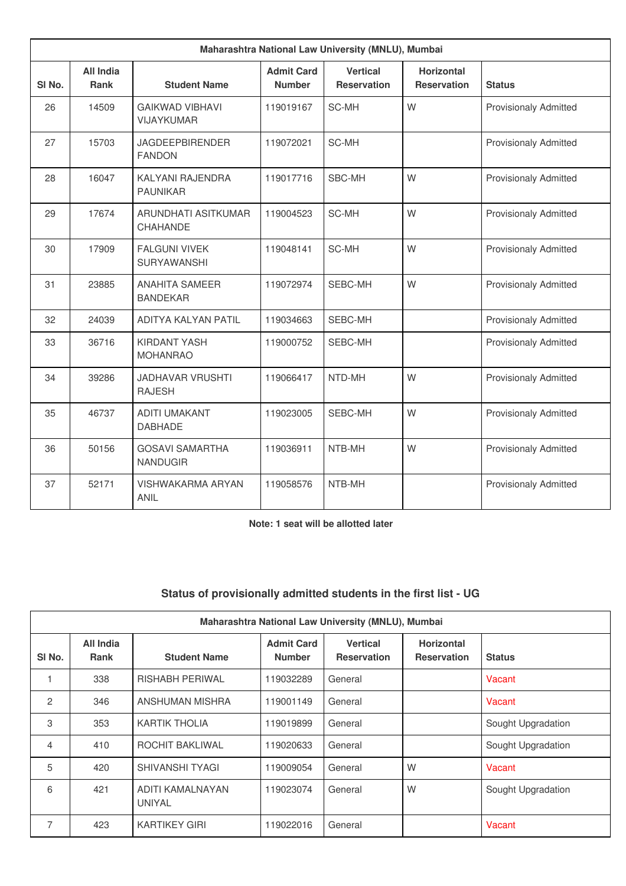| Maharashtra National Law University (MNLU), Mumbai |                                 |                                            |                                    |                                       |                                         |                              |  |
|----------------------------------------------------|---------------------------------|--------------------------------------------|------------------------------------|---------------------------------------|-----------------------------------------|------------------------------|--|
| SI <sub>No.</sub>                                  | <b>All India</b><br><b>Rank</b> | <b>Student Name</b>                        | <b>Admit Card</b><br><b>Number</b> | <b>Vertical</b><br><b>Reservation</b> | <b>Horizontal</b><br><b>Reservation</b> | <b>Status</b>                |  |
| 26                                                 | 14509                           | <b>GAIKWAD VIBHAVI</b><br>VIJAYKUMAR       | 119019167                          | SC-MH                                 | W                                       | <b>Provisionaly Admitted</b> |  |
| 27                                                 | 15703                           | <b>JAGDEEPBIRENDER</b><br><b>FANDON</b>    | 119072021                          | SC-MH                                 |                                         | <b>Provisionaly Admitted</b> |  |
| 28                                                 | 16047                           | KALYANI RAJENDRA<br><b>PAUNIKAR</b>        | 119017716                          | SBC-MH                                | W                                       | <b>Provisionaly Admitted</b> |  |
| 29                                                 | 17674                           | ARUNDHATI ASITKUMAR<br>CHAHANDE            | 119004523                          | SC-MH                                 | W                                       | <b>Provisionaly Admitted</b> |  |
| 30                                                 | 17909                           | <b>FALGUNI VIVEK</b><br><b>SURYAWANSHI</b> | 119048141                          | SC-MH                                 | W                                       | <b>Provisionaly Admitted</b> |  |
| 31                                                 | 23885                           | <b>ANAHITA SAMEER</b><br><b>BANDEKAR</b>   | 119072974                          | SEBC-MH                               | W                                       | <b>Provisionaly Admitted</b> |  |
| 32                                                 | 24039                           | ADITYA KALYAN PATIL                        | 119034663                          | SEBC-MH                               |                                         | <b>Provisionaly Admitted</b> |  |
| 33                                                 | 36716                           | <b>KIRDANT YASH</b><br><b>MOHANRAO</b>     | 119000752                          | SEBC-MH                               |                                         | <b>Provisionaly Admitted</b> |  |
| 34                                                 | 39286                           | <b>JADHAVAR VRUSHTI</b><br><b>RAJESH</b>   | 119066417                          | NTD-MH                                | W                                       | <b>Provisionaly Admitted</b> |  |
| 35                                                 | 46737                           | <b>ADITI UMAKANT</b><br><b>DABHADE</b>     | 119023005                          | SEBC-MH                               | W                                       | <b>Provisionaly Admitted</b> |  |
| 36                                                 | 50156                           | <b>GOSAVI SAMARTHA</b><br><b>NANDUGIR</b>  | 119036911                          | NTB-MH                                | W                                       | <b>Provisionaly Admitted</b> |  |
| 37                                                 | 52171                           | <b>VISHWAKARMA ARYAN</b><br><b>ANIL</b>    | 119058576                          | NTB-MH                                |                                         | <b>Provisionaly Admitted</b> |  |

**Note: 1 seat will be allotted later**

## **Status of provisionally admitted students in the first list - UG**

|                   | Maharashtra National Law University (MNLU), Mumbai |                                   |                                    |                                       |                                         |                    |  |  |
|-------------------|----------------------------------------------------|-----------------------------------|------------------------------------|---------------------------------------|-----------------------------------------|--------------------|--|--|
| SI <sub>No.</sub> | All India<br><b>Rank</b>                           | <b>Student Name</b>               | <b>Admit Card</b><br><b>Number</b> | <b>Vertical</b><br><b>Reservation</b> | <b>Horizontal</b><br><b>Reservation</b> | <b>Status</b>      |  |  |
|                   | 338                                                | <b>RISHABH PERIWAL</b>            | 119032289                          | General                               |                                         | Vacant             |  |  |
| 2                 | 346                                                | ANSHUMAN MISHRA                   | 119001149                          | General                               |                                         | Vacant             |  |  |
| 3                 | 353                                                | <b>KARTIK THOLIA</b>              | 119019899                          | General                               |                                         | Sought Upgradation |  |  |
| 4                 | 410                                                | ROCHIT BAKLIWAL                   | 119020633                          | General                               |                                         | Sought Upgradation |  |  |
| 5                 | 420                                                | <b>SHIVANSHI TYAGI</b>            | 119009054                          | General                               | W                                       | Vacant             |  |  |
| 6                 | 421                                                | ADITI KAMALNAYAN<br><b>UNIYAL</b> | 119023074                          | General                               | W                                       | Sought Upgradation |  |  |
| 7                 | 423                                                | <b>KARTIKEY GIRI</b>              | 119022016                          | General                               |                                         | Vacant             |  |  |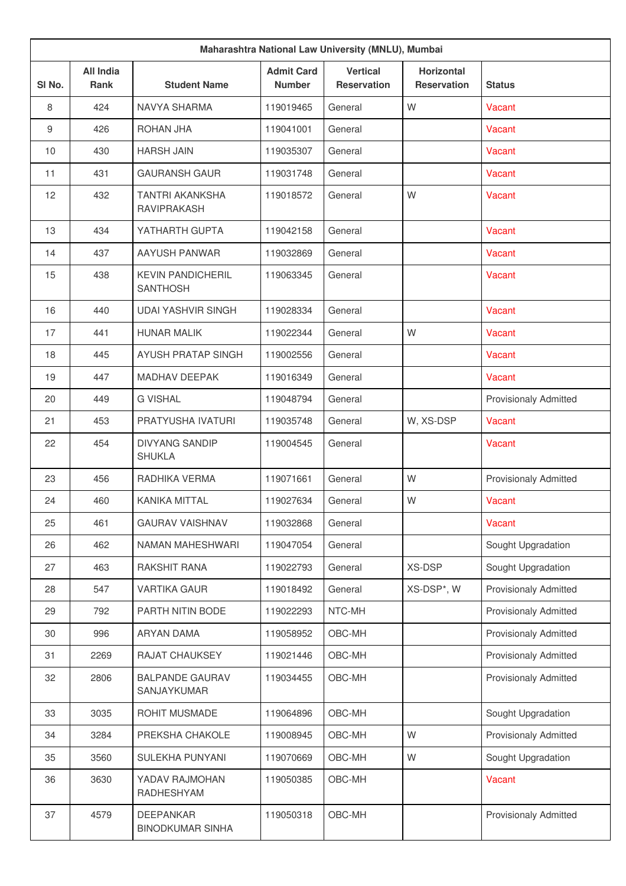|        | Maharashtra National Law University (MNLU), Mumbai |                                              |                                    |                                       |                                         |                              |  |  |
|--------|----------------------------------------------------|----------------------------------------------|------------------------------------|---------------------------------------|-----------------------------------------|------------------------------|--|--|
| SI No. | <b>All India</b><br><b>Rank</b>                    | <b>Student Name</b>                          | <b>Admit Card</b><br><b>Number</b> | <b>Vertical</b><br><b>Reservation</b> | <b>Horizontal</b><br><b>Reservation</b> | <b>Status</b>                |  |  |
| 8      | 424                                                | NAVYA SHARMA                                 | 119019465                          | General                               | W                                       | Vacant                       |  |  |
| 9      | 426                                                | ROHAN JHA                                    | 119041001                          | General                               |                                         | Vacant                       |  |  |
| 10     | 430                                                | <b>HARSH JAIN</b>                            | 119035307                          | General                               |                                         | Vacant                       |  |  |
| 11     | 431                                                | <b>GAURANSH GAUR</b>                         | 119031748                          | General                               |                                         | Vacant                       |  |  |
| 12     | 432                                                | <b>TANTRI AKANKSHA</b><br><b>RAVIPRAKASH</b> | 119018572                          | General                               | W                                       | Vacant                       |  |  |
| 13     | 434                                                | YATHARTH GUPTA                               | 119042158                          | General                               |                                         | Vacant                       |  |  |
| 14     | 437                                                | AAYUSH PANWAR                                | 119032869                          | General                               |                                         | Vacant                       |  |  |
| 15     | 438                                                | <b>KEVIN PANDICHERIL</b><br><b>SANTHOSH</b>  | 119063345                          | General                               |                                         | Vacant                       |  |  |
| 16     | 440                                                | <b>UDAI YASHVIR SINGH</b>                    | 119028334                          | General                               |                                         | Vacant                       |  |  |
| 17     | 441                                                | <b>HUNAR MALIK</b>                           | 119022344                          | General                               | W                                       | Vacant                       |  |  |
| 18     | 445                                                | <b>AYUSH PRATAP SINGH</b>                    | 119002556                          | General                               |                                         | Vacant                       |  |  |
| 19     | 447                                                | <b>MADHAV DEEPAK</b>                         | 119016349                          | General                               |                                         | Vacant                       |  |  |
| 20     | 449                                                | <b>G VISHAL</b>                              | 119048794                          | General                               |                                         | <b>Provisionaly Admitted</b> |  |  |
| 21     | 453                                                | PRATYUSHA IVATURI                            | 119035748                          | General                               | W, XS-DSP                               | Vacant                       |  |  |
| 22     | 454                                                | <b>DIVYANG SANDIP</b><br><b>SHUKLA</b>       | 119004545                          | General                               |                                         | Vacant                       |  |  |
| 23     | 456                                                | RADHIKA VERMA                                | 119071661                          | General                               | W                                       | <b>Provisionaly Admitted</b> |  |  |
| 24     | 460                                                | <b>KANIKA MITTAL</b>                         | 119027634                          | General                               | W                                       | Vacant                       |  |  |
| 25     | 461                                                | <b>GAURAV VAISHNAV</b>                       | 119032868                          | General                               |                                         | Vacant                       |  |  |
| 26     | 462                                                | NAMAN MAHESHWARI                             | 119047054                          | General                               |                                         | Sought Upgradation           |  |  |
| 27     | 463                                                | RAKSHIT RANA                                 | 119022793                          | General                               | XS-DSP                                  | Sought Upgradation           |  |  |
| 28     | 547                                                | <b>VARTIKA GAUR</b>                          | 119018492                          | General                               | XS-DSP*, W                              | <b>Provisionaly Admitted</b> |  |  |
| 29     | 792                                                | PARTH NITIN BODE                             | 119022293                          | NTC-MH                                |                                         | <b>Provisionaly Admitted</b> |  |  |
| 30     | 996                                                | <b>ARYAN DAMA</b>                            | 119058952                          | OBC-MH                                |                                         | <b>Provisionaly Admitted</b> |  |  |
| 31     | 2269                                               | RAJAT CHAUKSEY                               | 119021446                          | OBC-MH                                |                                         | <b>Provisionaly Admitted</b> |  |  |
| 32     | 2806                                               | <b>BALPANDE GAURAV</b><br>SANJAYKUMAR        | 119034455                          | OBC-MH                                |                                         | <b>Provisionaly Admitted</b> |  |  |
| 33     | 3035                                               | ROHIT MUSMADE                                | 119064896                          | OBC-MH                                |                                         | Sought Upgradation           |  |  |
| 34     | 3284                                               | PREKSHA CHAKOLE                              | 119008945                          | OBC-MH                                | W                                       | <b>Provisionaly Admitted</b> |  |  |
| 35     | 3560                                               | SULEKHA PUNYANI                              | 119070669                          | OBC-MH                                | W                                       | Sought Upgradation           |  |  |
| 36     | 3630                                               | YADAV RAJMOHAN<br>RADHESHYAM                 | 119050385                          | OBC-MH                                |                                         | Vacant                       |  |  |
| 37     | 4579                                               | <b>DEEPANKAR</b><br><b>BINODKUMAR SINHA</b>  | 119050318                          | OBC-MH                                |                                         | <b>Provisionaly Admitted</b> |  |  |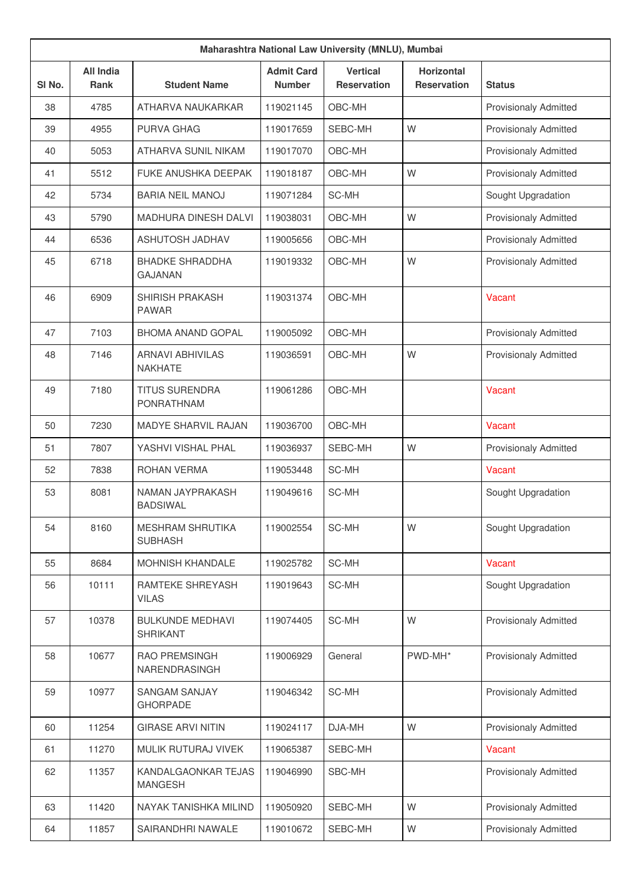| Maharashtra National Law University (MNLU), Mumbai |                          |                                            |                                    |                                       |                                         |                              |  |
|----------------------------------------------------|--------------------------|--------------------------------------------|------------------------------------|---------------------------------------|-----------------------------------------|------------------------------|--|
| SI No.                                             | <b>All India</b><br>Rank | <b>Student Name</b>                        | <b>Admit Card</b><br><b>Number</b> | <b>Vertical</b><br><b>Reservation</b> | <b>Horizontal</b><br><b>Reservation</b> | <b>Status</b>                |  |
| 38                                                 | 4785                     | ATHARVA NAUKARKAR                          | 119021145                          | OBC-MH                                |                                         | <b>Provisionaly Admitted</b> |  |
| 39                                                 | 4955                     | PURVA GHAG                                 | 119017659                          | SEBC-MH                               | W                                       | <b>Provisionaly Admitted</b> |  |
| 40                                                 | 5053                     | <b>ATHARVA SUNIL NIKAM</b>                 | 119017070                          | OBC-MH                                |                                         | <b>Provisionaly Admitted</b> |  |
| 41                                                 | 5512                     | <b>FUKE ANUSHKA DEEPAK</b>                 | 119018187                          | OBC-MH                                | W                                       | <b>Provisionaly Admitted</b> |  |
| 42                                                 | 5734                     | <b>BARIA NEIL MANOJ</b>                    | 119071284                          | SC-MH                                 |                                         | Sought Upgradation           |  |
| 43                                                 | 5790                     | <b>MADHURA DINESH DALVI</b>                | 119038031                          | OBC-MH                                | W                                       | <b>Provisionaly Admitted</b> |  |
| 44                                                 | 6536                     | <b>ASHUTOSH JADHAV</b>                     | 119005656                          | OBC-MH                                |                                         | <b>Provisionaly Admitted</b> |  |
| 45                                                 | 6718                     | <b>BHADKE SHRADDHA</b><br><b>GAJANAN</b>   | 119019332                          | OBC-MH                                | W                                       | <b>Provisionaly Admitted</b> |  |
| 46                                                 | 6909                     | <b>SHIRISH PRAKASH</b><br><b>PAWAR</b>     | 119031374                          | OBC-MH                                |                                         | Vacant                       |  |
| 47                                                 | 7103                     | <b>BHOMA ANAND GOPAL</b>                   | 119005092                          | OBC-MH                                |                                         | <b>Provisionaly Admitted</b> |  |
| 48                                                 | 7146                     | <b>ARNAVI ABHIVILAS</b><br><b>NAKHATE</b>  | 119036591                          | OBC-MH                                | W                                       | <b>Provisionaly Admitted</b> |  |
| 49                                                 | 7180                     | <b>TITUS SURENDRA</b><br>PONRATHNAM        | 119061286                          | OBC-MH                                |                                         | Vacant                       |  |
| 50                                                 | 7230                     | <b>MADYE SHARVIL RAJAN</b>                 | 119036700                          | OBC-MH                                |                                         | Vacant                       |  |
| 51                                                 | 7807                     | YASHVI VISHAL PHAL                         | 119036937                          | SEBC-MH                               | W                                       | <b>Provisionaly Admitted</b> |  |
| 52                                                 | 7838                     | ROHAN VERMA                                | 119053448                          | SC-MH                                 |                                         | Vacant                       |  |
| 53                                                 | 8081                     | NAMAN JAYPRAKASH<br><b>BADSIWAL</b>        | 119049616                          | SC-MH                                 |                                         | Sought Upgradation           |  |
| 54                                                 | 8160                     | <b>MESHRAM SHRUTIKA</b><br><b>SUBHASH</b>  | 119002554                          | SC-MH                                 | W                                       | Sought Upgradation           |  |
| 55                                                 | 8684                     | MOHNISH KHANDALE                           | 119025782                          | SC-MH                                 |                                         | <b>Vacant</b>                |  |
| 56                                                 | 10111                    | RAMTEKE SHREYASH<br><b>VILAS</b>           | 119019643                          | SC-MH                                 |                                         | Sought Upgradation           |  |
| 57                                                 | 10378                    | <b>BULKUNDE MEDHAVI</b><br><b>SHRIKANT</b> | 119074405                          | SC-MH                                 | W                                       | <b>Provisionaly Admitted</b> |  |
| 58                                                 | 10677                    | RAO PREMSINGH<br>NARENDRASINGH             | 119006929                          | General                               | PWD-MH*                                 | Provisionaly Admitted        |  |
| 59                                                 | 10977                    | <b>SANGAM SANJAY</b><br><b>GHORPADE</b>    | 119046342                          | SC-MH                                 |                                         | <b>Provisionaly Admitted</b> |  |
| 60                                                 | 11254                    | <b>GIRASE ARVI NITIN</b>                   | 119024117                          | DJA-MH                                | W                                       | <b>Provisionaly Admitted</b> |  |
| 61                                                 | 11270                    | MULIK RUTURAJ VIVEK                        | 119065387                          | SEBC-MH                               |                                         | Vacant                       |  |
| 62                                                 | 11357                    | KANDALGAONKAR TEJAS<br><b>MANGESH</b>      | 119046990                          | SBC-MH                                |                                         | <b>Provisionaly Admitted</b> |  |
| 63                                                 | 11420                    | NAYAK TANISHKA MILIND                      | 119050920                          | SEBC-MH                               | W                                       | Provisionaly Admitted        |  |
| 64                                                 | 11857                    | SAIRANDHRI NAWALE                          | 119010672                          | SEBC-MH                               | W                                       | Provisionaly Admitted        |  |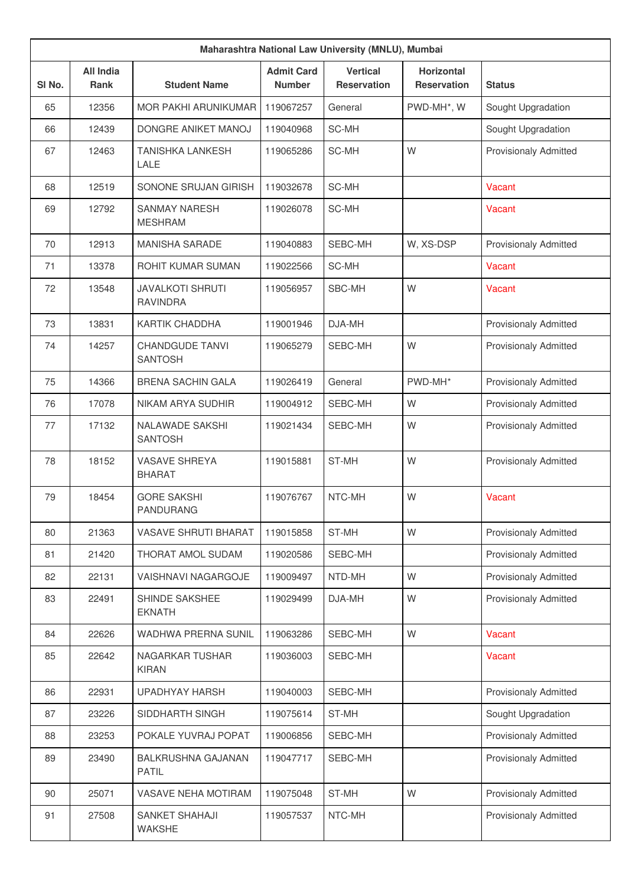| Maharashtra National Law University (MNLU), Mumbai |                                 |                                            |                                    |                                       |                                         |                              |  |
|----------------------------------------------------|---------------------------------|--------------------------------------------|------------------------------------|---------------------------------------|-----------------------------------------|------------------------------|--|
| SI No.                                             | <b>All India</b><br><b>Rank</b> | <b>Student Name</b>                        | <b>Admit Card</b><br><b>Number</b> | <b>Vertical</b><br><b>Reservation</b> | <b>Horizontal</b><br><b>Reservation</b> | <b>Status</b>                |  |
| 65                                                 | 12356                           | <b>MOR PAKHI ARUNIKUMAR</b>                | 119067257                          | General                               | PWD-MH*, W                              | Sought Upgradation           |  |
| 66                                                 | 12439                           | DONGRE ANIKET MANOJ                        | 119040968                          | SC-MH                                 |                                         | Sought Upgradation           |  |
| 67                                                 | 12463                           | <b>TANISHKA LANKESH</b><br>LALE            | 119065286                          | SC-MH                                 | W                                       | <b>Provisionaly Admitted</b> |  |
| 68                                                 | 12519                           | SONONE SRUJAN GIRISH                       | 119032678                          | SC-MH                                 |                                         | Vacant                       |  |
| 69                                                 | 12792                           | <b>SANMAY NARESH</b><br><b>MESHRAM</b>     | 119026078                          | SC-MH                                 |                                         | Vacant                       |  |
| 70                                                 | 12913                           | <b>MANISHA SARADE</b>                      | 119040883                          | SEBC-MH                               | W, XS-DSP                               | <b>Provisionaly Admitted</b> |  |
| 71                                                 | 13378                           | <b>ROHIT KUMAR SUMAN</b>                   | 119022566                          | SC-MH                                 |                                         | Vacant                       |  |
| 72                                                 | 13548                           | <b>JAVALKOTI SHRUTI</b><br><b>RAVINDRA</b> | 119056957                          | SBC-MH                                | W                                       | Vacant                       |  |
| 73                                                 | 13831                           | KARTIK CHADDHA                             | 119001946                          | DJA-MH                                |                                         | <b>Provisionaly Admitted</b> |  |
| 74                                                 | 14257                           | <b>CHANDGUDE TANVI</b><br><b>SANTOSH</b>   | 119065279                          | SEBC-MH                               | W                                       | <b>Provisionaly Admitted</b> |  |
| 75                                                 | 14366                           | <b>BRENA SACHIN GALA</b>                   | 119026419                          | General                               | PWD-MH*                                 | <b>Provisionaly Admitted</b> |  |
| 76                                                 | 17078                           | NIKAM ARYA SUDHIR                          | 119004912                          | SEBC-MH                               | W                                       | <b>Provisionaly Admitted</b> |  |
| 77                                                 | 17132                           | NALAWADE SAKSHI<br><b>SANTOSH</b>          | 119021434                          | SEBC-MH                               | W                                       | <b>Provisionaly Admitted</b> |  |
| 78                                                 | 18152                           | <b>VASAVE SHREYA</b><br><b>BHARAT</b>      | 119015881                          | ST-MH                                 | W                                       | <b>Provisionaly Admitted</b> |  |
| 79                                                 | 18454                           | <b>GORE SAKSHI</b><br><b>PANDURANG</b>     | 119076767                          | NTC-MH                                | W                                       | Vacant                       |  |
| 80                                                 | 21363                           | VASAVE SHRUTI BHARAT                       | 119015858                          | ST-MH                                 | W                                       | <b>Provisionaly Admitted</b> |  |
| 81                                                 | 21420                           | THORAT AMOL SUDAM                          | 119020586                          | SEBC-MH                               |                                         | <b>Provisionaly Admitted</b> |  |
| 82                                                 | 22131                           | VAISHNAVI NAGARGOJE                        | 119009497                          | NTD-MH                                | W                                       | Provisionaly Admitted        |  |
| 83                                                 | 22491                           | SHINDE SAKSHEE<br><b>EKNATH</b>            | 119029499                          | DJA-MH                                | W                                       | <b>Provisionaly Admitted</b> |  |
| 84                                                 | 22626                           | WADHWA PRERNA SUNIL                        | 119063286                          | SEBC-MH                               | W                                       | Vacant                       |  |
| 85                                                 | 22642                           | NAGARKAR TUSHAR<br><b>KIRAN</b>            | 119036003                          | SEBC-MH                               |                                         | Vacant                       |  |
| 86                                                 | 22931                           | UPADHYAY HARSH                             | 119040003                          | SEBC-MH                               |                                         | Provisionaly Admitted        |  |
| 87                                                 | 23226                           | SIDDHARTH SINGH                            | 119075614                          | ST-MH                                 |                                         | Sought Upgradation           |  |
| 88                                                 | 23253                           | POKALE YUVRAJ POPAT                        | 119006856                          | SEBC-MH                               |                                         | <b>Provisionaly Admitted</b> |  |
| 89                                                 | 23490                           | BALKRUSHNA GAJANAN<br>PATIL                | 119047717                          | SEBC-MH                               |                                         | Provisionaly Admitted        |  |
| 90                                                 | 25071                           | VASAVE NEHA MOTIRAM                        | 119075048                          | ST-MH                                 | W                                       | Provisionaly Admitted        |  |
| 91                                                 | 27508                           | SANKET SHAHAJI<br>WAKSHE                   | 119057537                          | NTC-MH                                |                                         | Provisionaly Admitted        |  |